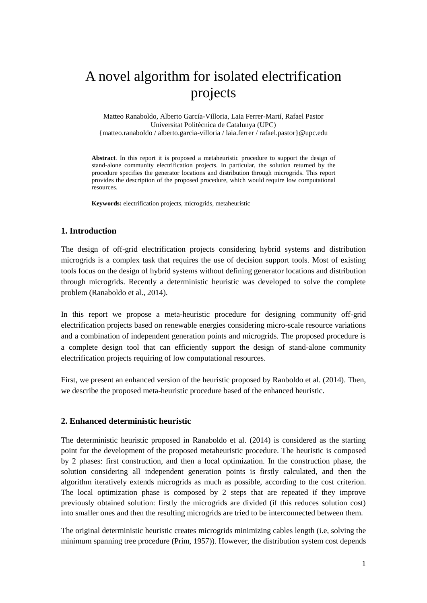# A novel algorithm for isolated electrification projects

Matteo Ranaboldo, Alberto García-Villoria, Laia Ferrer-Martí, Rafael Pastor Universitat Politècnica de Catalunya (UPC) {matteo.ranaboldo / alberto.garcia-villoria / laia.ferrer / rafael.pastor}@upc.edu

**Abstract**. In this report it is proposed a metaheuristic procedure to support the design of stand-alone community electrification projects. In particular, the solution returned by the procedure specifies the generator locations and distribution through microgrids. This report provides the description of the proposed procedure, which would require low computational resources.

**Keywords:** electrification projects, microgrids, metaheuristic

#### **1. Introduction**

The design of off-grid electrification projects considering hybrid systems and distribution microgrids is a complex task that requires the use of decision support tools. Most of existing tools focus on the design of hybrid systems without defining generator locations and distribution through microgrids. Recently a deterministic heuristic was developed to solve the complete problem (Ranaboldo et al., 2014).

In this report we propose a meta-heuristic procedure for designing community off-grid electrification projects based on renewable energies considering micro-scale resource variations and a combination of independent generation points and microgrids. The proposed procedure is a complete design tool that can efficiently support the design of stand-alone community electrification projects requiring of low computational resources.

First, we present an enhanced version of the heuristic proposed by Ranboldo et al. (2014). Then, we describe the proposed meta-heuristic procedure based of the enhanced heuristic.

### **2. Enhanced deterministic heuristic**

The deterministic heuristic proposed in Ranaboldo et al. (2014) is considered as the starting point for the development of the proposed metaheuristic procedure. The heuristic is composed by 2 phases: first construction, and then a local optimization. In the construction phase, the solution considering all independent generation points is firstly calculated, and then the algorithm iteratively extends microgrids as much as possible, according to the cost criterion. The local optimization phase is composed by 2 steps that are repeated if they improve previously obtained solution: firstly the microgrids are divided (if this reduces solution cost) into smaller ones and then the resulting microgrids are tried to be interconnected between them.

The original deterministic heuristic creates microgrids minimizing cables length (i.e, solving the minimum spanning tree procedure (Prim, 1957)). However, the distribution system cost depends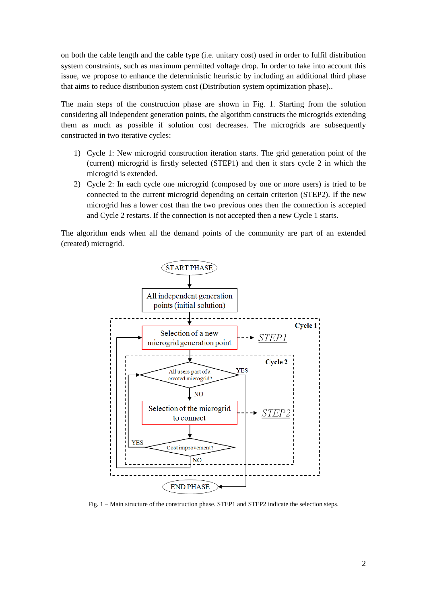on both the cable length and the cable type (i.e. unitary cost) used in order to fulfil distribution system constraints, such as maximum permitted voltage drop. In order to take into account this issue, we propose to enhance the deterministic heuristic by including an additional third phase that aims to reduce distribution system cost (Distribution system optimization phase)..

The main steps of the construction phase are shown in Fig. 1. Starting from the solution considering all independent generation points, the algorithm constructs the microgrids extending them as much as possible if solution cost decreases. The microgrids are subsequently constructed in two iterative cycles:

- 1) Cycle 1: New microgrid construction iteration starts. The grid generation point of the (current) microgrid is firstly selected (STEP1) and then it stars cycle 2 in which the microgrid is extended.
- 2) Cycle 2: In each cycle one microgrid (composed by one or more users) is tried to be connected to the current microgrid depending on certain criterion (STEP2). If the new microgrid has a lower cost than the two previous ones then the connection is accepted and Cycle 2 restarts. If the connection is not accepted then a new Cycle 1 starts.

The algorithm ends when all the demand points of the community are part of an extended (created) microgrid.



Fig. 1 – Main structure of the construction phase. STEP1 and STEP2 indicate the selection steps.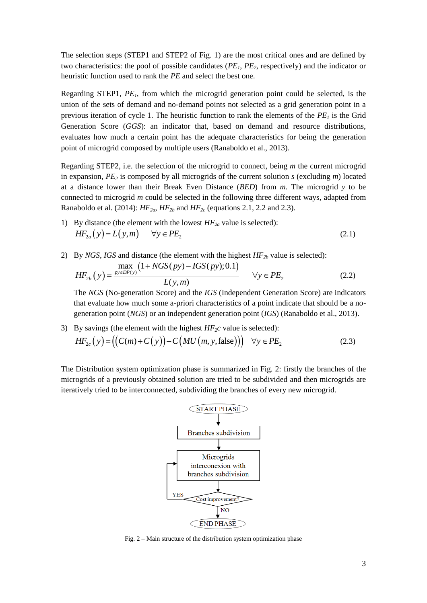The selection steps (STEP1 and STEP2 of Fig. 1) are the most critical ones and are defined by two characteristics: the pool of possible candidates (*PE1*, *PE2*, respectively) and the indicator or heuristic function used to rank the *PE* and select the best one.

Regarding STEP1, *PE1*, from which the microgrid generation point could be selected, is the union of the sets of demand and no-demand points not selected as a grid generation point in a previous iteration of cycle 1. The heuristic function to rank the elements of the *PE<sup>1</sup>* is the Grid Generation Score (*GGS*): an indicator that, based on demand and resource distributions, evaluates how much a certain point has the adequate characteristics for being the generation point of microgrid composed by multiple users (Ranaboldo et al., 2013).

Regarding STEP2, i.e. the selection of the microgrid to connect, being *m* the current microgrid in expansion, *PE<sup>2</sup>* is composed by all microgrids of the current solution *s* (excluding *m*) located at a distance lower than their Break Even Distance (*BED*) from *m*. The microgrid *y* to be connected to microgrid *m* could be selected in the following three different ways, adapted from Ranaboldo et al. (2014):  $HF_{2a}$ ,  $HF_{2b}$  and  $HF_{2c}$  (equations 2.1, 2.2 and 2.3).

- 1) By distance (the element with the lowest  $HF_{2a}$  value is selected):  $HF_{2a}(y) = L(y,m)$   $\forall y \in PE_2$  (2.1)
- 2) By *NGS*, *IGS* and distance (the element with the highest  $HF_{2b}$  value is selected):

By *NGS*, *IGS* and distance (the element with the highest *HF*<sub>2b</sub> value is selected):  
\n
$$
HF_{2b}(y) = \frac{\max_{py \in DP(y)} (1 + NGS(py) - IGS(py); 0.1)}{L(y, m)}
$$
\n
$$
\forall y \in PE_2
$$
\n(2.2)

The *NGS* (No-generation Score) and the *IGS* (Independent Generation Score) are indicators that evaluate how much some a-priori characteristics of a point indicate that should be a nogeneration point (*NGS*) or an independent generation point (*IGS*) (Ranaboldo et al., 2013).

3) By savings (the element with the highest *HF2c* value is selected):  $HF_{2c}(y) = ((C(m) + C(y)) - C(MU(m, y, false))) \quad \forall y \in PE_2$ (2.3)

The Distribution system optimization phase is summarized in Fig. 2: firstly the branches of the microgrids of a previously obtained solution are tried to be subdivided and then microgrids are iteratively tried to be interconnected, subdividing the branches of every new microgrid.



Fig. 2 – Main structure of the distribution system optimization phase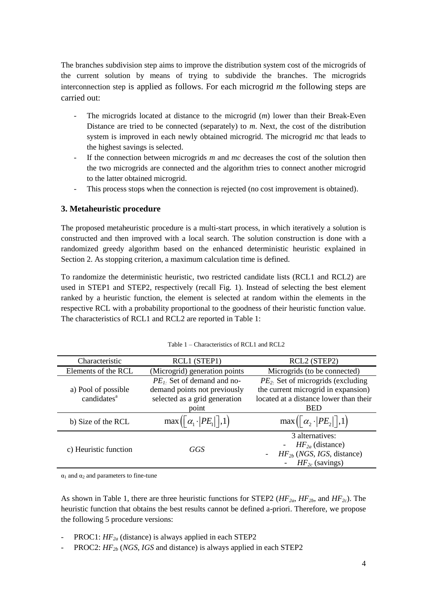The branches subdivision step aims to improve the distribution system cost of the microgrids of the current solution by means of trying to subdivide the branches. The microgrids interconnection step is applied as follows. For each microgrid *m* the following steps are carried out:

- The microgrids located at distance to the microgrid (*m*) lower than their Break-Even Distance are tried to be connected (separately) to *m*. Next, the cost of the distribution system is improved in each newly obtained microgrid. The microgrid *mc* that leads to the highest savings is selected.
- If the connection between microgrids *m* and *mc* decreases the cost of the solution then the two microgrids are connected and the algorithm tries to connect another microgrid to the latter obtained microgrid.
- This process stops when the connection is rejected (no cost improvement is obtained).

## **3. Metaheuristic procedure**

The proposed metaheuristic procedure is a multi-start process, in which iteratively a solution is constructed and then improved with a local search. The solution construction is done with a randomized greedy algorithm based on the enhanced deterministic heuristic explained in Section 2. As stopping criterion, a maximum calculation time is defined.

To randomize the deterministic heuristic, two restricted candidate lists (RCL1 and RCL2) are used in STEP1 and STEP2, respectively (recall Fig. 1). Instead of selecting the best element ranked by a heuristic function, the element is selected at random within the elements in the respective RCL with a probability proportional to the goodness of their heuristic function value. The characteristics of RCL1 and RCL2 are reported in Table 1:

| Characteristic          | RCL1 (STEP1)                                                       | RCL <sub>2</sub> (STEP <sub>2</sub> )         |
|-------------------------|--------------------------------------------------------------------|-----------------------------------------------|
| Elements of the RCL     | (Microgrid) generation points                                      | Microgrids (to be connected)                  |
|                         | $PE1$ . Set of demand and no-                                      | $PE2$ . Set of microgrids (excluding          |
| a) Pool of possible     | demand points not previously                                       | the current microgrid in expansion)           |
| candidates <sup>a</sup> | selected as a grid generation                                      | located at a distance lower than their        |
|                         | point                                                              | <b>BED</b>                                    |
| b) Size of the RCL      | $\max\left(\left\lceil \alpha_1\cdot  PE_1  \right\rceil,1\right)$ | $\max(\left[\alpha_2 \cdot  PE_2 \right], 1)$ |
| c) Heuristic function   | GGS                                                                | 3 alternatives:                               |
|                         |                                                                    | $HF_{2a}$ (distance)                          |
|                         |                                                                    | $HF_{2b}$ (NGS, IGS, distance)                |
|                         |                                                                    | $HF_{2c}$ (savings)                           |

Table 1 – Characteristics of RCL1 and RCL2

 $\alpha_1$  and  $\alpha_2$  and parameters to fine-tune

As shown in Table 1, there are three heuristic functions for STEP2 (*HF2a*, *HF2b*, and *HF2c*). The heuristic function that obtains the best results cannot be defined a-priori. Therefore, we propose the following 5 procedure versions:

- PROC1:  $HF_{2a}$  (distance) is always applied in each STEP2
- PROC2:  $HF_{2b}$  (*NGS*, *IGS* and distance) is always applied in each STEP2